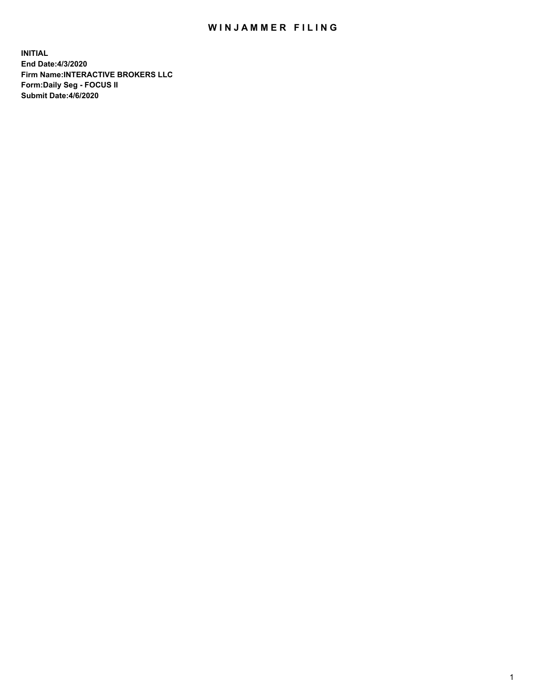## WIN JAMMER FILING

**INITIAL End Date:4/3/2020 Firm Name:INTERACTIVE BROKERS LLC Form:Daily Seg - FOCUS II Submit Date:4/6/2020**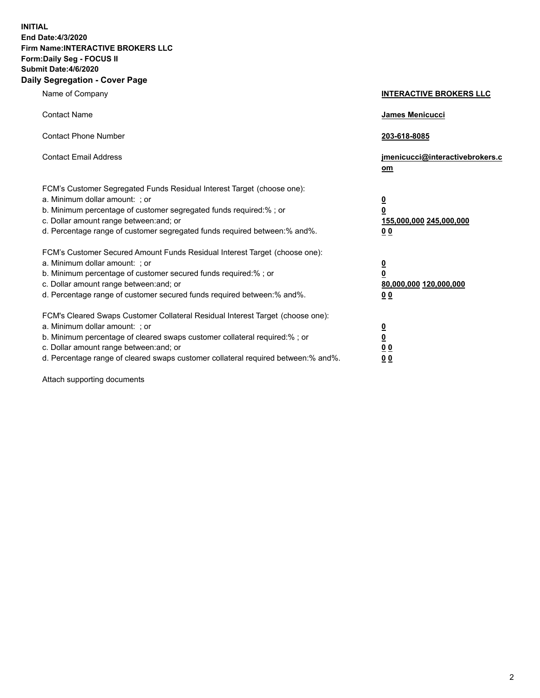**INITIAL End Date:4/3/2020 Firm Name:INTERACTIVE BROKERS LLC Form:Daily Seg - FOCUS II Submit Date:4/6/2020 Daily Segregation - Cover Page**

| Name of Company                                                                                                                                                                                                                                                                                                                | <b>INTERACTIVE BROKERS LLC</b>                                                                  |
|--------------------------------------------------------------------------------------------------------------------------------------------------------------------------------------------------------------------------------------------------------------------------------------------------------------------------------|-------------------------------------------------------------------------------------------------|
| <b>Contact Name</b>                                                                                                                                                                                                                                                                                                            | <b>James Menicucci</b>                                                                          |
| <b>Contact Phone Number</b>                                                                                                                                                                                                                                                                                                    | 203-618-8085                                                                                    |
| <b>Contact Email Address</b>                                                                                                                                                                                                                                                                                                   | jmenicucci@interactivebrokers.c<br>om                                                           |
| FCM's Customer Segregated Funds Residual Interest Target (choose one):<br>a. Minimum dollar amount: ; or<br>b. Minimum percentage of customer segregated funds required:% ; or<br>c. Dollar amount range between: and; or<br>d. Percentage range of customer segregated funds required between: % and %.                       | $\overline{\mathbf{0}}$<br>$\overline{\mathbf{0}}$<br>155,000,000 245,000,000<br>0 <sub>0</sub> |
| FCM's Customer Secured Amount Funds Residual Interest Target (choose one):<br>a. Minimum dollar amount: ; or<br>b. Minimum percentage of customer secured funds required:% ; or<br>c. Dollar amount range between: and; or<br>d. Percentage range of customer secured funds required between:% and%.                           | $\overline{\mathbf{0}}$<br>$\overline{\mathbf{0}}$<br>80,000,000 120,000,000<br>00              |
| FCM's Cleared Swaps Customer Collateral Residual Interest Target (choose one):<br>a. Minimum dollar amount: ; or<br>b. Minimum percentage of cleared swaps customer collateral required:% ; or<br>c. Dollar amount range between: and; or<br>d. Percentage range of cleared swaps customer collateral required between:% and%. | $\overline{\mathbf{0}}$<br>$\underline{\mathbf{0}}$<br>0 <sub>0</sub><br>0 <sub>0</sub>         |

Attach supporting documents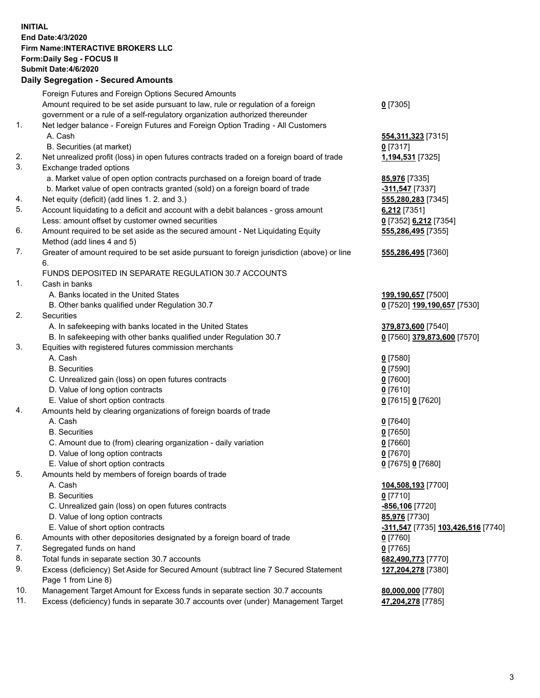## **INITIAL End Date:4/3/2020 Firm Name:INTERACTIVE BROKERS LLC Form:Daily Seg - FOCUS II Submit Date:4/6/2020 Daily Segregation - Secured Amounts**

|     | 2011, Ocgi ogation - Oceaned Anioania                                                       |                                                        |
|-----|---------------------------------------------------------------------------------------------|--------------------------------------------------------|
|     | Foreign Futures and Foreign Options Secured Amounts                                         |                                                        |
|     | Amount required to be set aside pursuant to law, rule or regulation of a foreign            | $0$ [7305]                                             |
|     | government or a rule of a self-regulatory organization authorized thereunder                |                                                        |
| 1.  | Net ledger balance - Foreign Futures and Foreign Option Trading - All Customers             |                                                        |
|     | A. Cash                                                                                     | 554, 311, 323 [7315]                                   |
|     | B. Securities (at market)                                                                   | $0$ [7317]                                             |
| 2.  | Net unrealized profit (loss) in open futures contracts traded on a foreign board of trade   | 1,194,531 [7325]                                       |
| 3.  | Exchange traded options                                                                     |                                                        |
|     | a. Market value of open option contracts purchased on a foreign board of trade              | 85,976 [7335]                                          |
|     | b. Market value of open contracts granted (sold) on a foreign board of trade                | -311,547 <sup>[7337]</sup>                             |
| 4.  | Net equity (deficit) (add lines 1. 2. and 3.)                                               | 555,280,283 [7345]                                     |
| 5.  | Account liquidating to a deficit and account with a debit balances - gross amount           | $6,212$ [7351]                                         |
|     | Less: amount offset by customer owned securities                                            | 0 [7352] 6,212 [7354]                                  |
| 6.  | Amount required to be set aside as the secured amount - Net Liquidating Equity              | 555,286,495 [7355]                                     |
|     | Method (add lines 4 and 5)                                                                  |                                                        |
| 7.  | Greater of amount required to be set aside pursuant to foreign jurisdiction (above) or line | 555,286,495 [7360]                                     |
|     | 6.                                                                                          |                                                        |
|     | FUNDS DEPOSITED IN SEPARATE REGULATION 30.7 ACCOUNTS                                        |                                                        |
| 1.  | Cash in banks                                                                               |                                                        |
|     | A. Banks located in the United States                                                       | 199,190,657 [7500]<br>0 [7520] 199,190,657 [7530]      |
| 2.  | B. Other banks qualified under Regulation 30.7<br>Securities                                |                                                        |
|     | A. In safekeeping with banks located in the United States                                   | 379,873,600 [7540]                                     |
|     | B. In safekeeping with other banks qualified under Regulation 30.7                          | 0 [7560] 379,873,600 [7570]                            |
| 3.  | Equities with registered futures commission merchants                                       |                                                        |
|     | A. Cash                                                                                     | $0$ [7580]                                             |
|     | <b>B.</b> Securities                                                                        | $0$ [7590]                                             |
|     | C. Unrealized gain (loss) on open futures contracts                                         | $0$ [7600]                                             |
|     | D. Value of long option contracts                                                           | $0$ [7610]                                             |
|     | E. Value of short option contracts                                                          | 0 [7615] 0 [7620]                                      |
| 4.  | Amounts held by clearing organizations of foreign boards of trade                           |                                                        |
|     | A. Cash                                                                                     | $0$ [7640]                                             |
|     | <b>B.</b> Securities                                                                        | $0$ [7650]                                             |
|     | C. Amount due to (from) clearing organization - daily variation                             | $0$ [7660]                                             |
|     | D. Value of long option contracts                                                           | $0$ [7670]                                             |
|     | E. Value of short option contracts                                                          | 0 [7675] 0 [7680]                                      |
| 5.  | Amounts held by members of foreign boards of trade                                          |                                                        |
|     | A. Cash                                                                                     | 104,508,193 [7700]                                     |
|     | <b>B.</b> Securities                                                                        | $0$ [7710]                                             |
|     | C. Unrealized gain (loss) on open futures contracts                                         | -856,106 [7720]                                        |
|     | D. Value of long option contracts                                                           | 85,976 [7730]                                          |
|     | E. Value of short option contracts                                                          | <mark>-311,547</mark> [7735] <u>103,426,516</u> [7740] |
| 6.  | Amounts with other depositories designated by a foreign board of trade                      | 0 [7760]                                               |
| 7.  | Segregated funds on hand                                                                    | $0$ [7765]                                             |
| 8.  | Total funds in separate section 30.7 accounts                                               | 682,490,773 [7770]                                     |
| 9.  | Excess (deficiency) Set Aside for Secured Amount (subtract line 7 Secured Statement         | 127,204,278 [7380]                                     |
|     | Page 1 from Line 8)                                                                         |                                                        |
| 10. | Management Target Amount for Excess funds in separate section 30.7 accounts                 | 80,000,000 [7780]                                      |
| 11. | Excess (deficiency) funds in separate 30.7 accounts over (under) Management Target          | 47,204,278 [7785]                                      |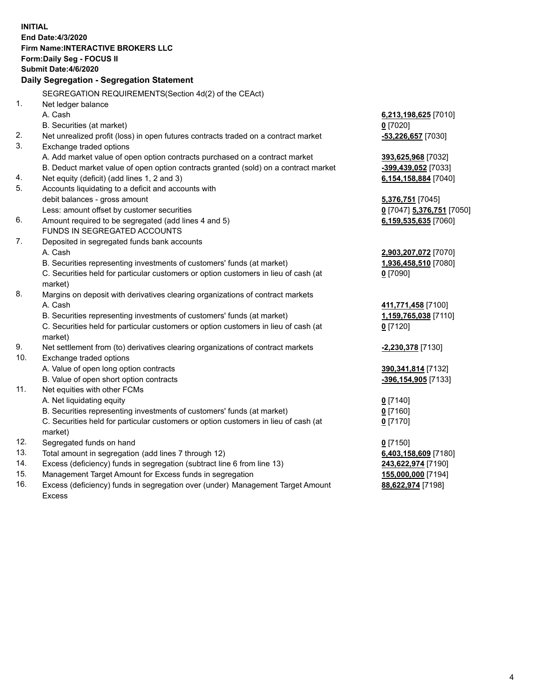|     | <b>INITIAL</b>                                                                                 |                           |
|-----|------------------------------------------------------------------------------------------------|---------------------------|
|     | <b>End Date:4/3/2020</b>                                                                       |                           |
|     | <b>Firm Name:INTERACTIVE BROKERS LLC</b>                                                       |                           |
|     | Form: Daily Seg - FOCUS II                                                                     |                           |
|     | <b>Submit Date: 4/6/2020</b>                                                                   |                           |
|     | Daily Segregation - Segregation Statement                                                      |                           |
|     | SEGREGATION REQUIREMENTS(Section 4d(2) of the CEAct)                                           |                           |
| 1.  | Net ledger balance                                                                             |                           |
|     | A. Cash                                                                                        | 6,213,198,625 [7010]      |
|     | B. Securities (at market)                                                                      | $0$ [7020]                |
| 2.  | Net unrealized profit (loss) in open futures contracts traded on a contract market             | $-53,226,657$ [7030]      |
| 3.  | Exchange traded options                                                                        |                           |
|     | A. Add market value of open option contracts purchased on a contract market                    | 393,625,968 [7032]        |
|     | B. Deduct market value of open option contracts granted (sold) on a contract market            | -399,439,052 [7033]       |
| 4.  | Net equity (deficit) (add lines 1, 2 and 3)                                                    | 6,154,158,884 [7040]      |
| 5.  | Accounts liquidating to a deficit and accounts with                                            |                           |
|     | debit balances - gross amount                                                                  | 5,376,751 [7045]          |
|     | Less: amount offset by customer securities                                                     | 0 [7047] 5,376,751 [7050] |
| 6.  | Amount required to be segregated (add lines 4 and 5)                                           | 6,159,535,635 [7060]      |
|     | FUNDS IN SEGREGATED ACCOUNTS                                                                   |                           |
| 7.  | Deposited in segregated funds bank accounts                                                    |                           |
|     | A. Cash                                                                                        | 2,903,207,072 [7070]      |
|     | B. Securities representing investments of customers' funds (at market)                         | 1,936,458,510 [7080]      |
|     | C. Securities held for particular customers or option customers in lieu of cash (at            | $0$ [7090]                |
|     | market)                                                                                        |                           |
| 8.  | Margins on deposit with derivatives clearing organizations of contract markets                 |                           |
|     | A. Cash                                                                                        | 411,771,458 [7100]        |
|     | B. Securities representing investments of customers' funds (at market)                         | 1,159,765,038 [7110]      |
|     | C. Securities held for particular customers or option customers in lieu of cash (at<br>market) | $0$ [7120]                |
| 9.  | Net settlement from (to) derivatives clearing organizations of contract markets                | -2,230,378 [7130]         |
| 10. | Exchange traded options                                                                        |                           |
|     | A. Value of open long option contracts                                                         | 390, 341, 814 [7132]      |
|     | B. Value of open short option contracts                                                        | -396,154,905 [7133]       |
| 11. | Net equities with other FCMs                                                                   |                           |
|     | A. Net liquidating equity                                                                      | $0$ [7140]                |
|     | B. Securities representing investments of customers' funds (at market)                         | 0 [7160]                  |
|     | C. Securities held for particular customers or option customers in lieu of cash (at            | $0$ [7170]                |
|     | market)                                                                                        |                           |
| 12. | Segregated funds on hand                                                                       | $0$ [7150]                |
| 13. | Total amount in segregation (add lines 7 through 12)                                           | 6,403,158,609 [7180]      |
| 14. | Excess (deficiency) funds in segregation (subtract line 6 from line 13)                        | 243,622,974 [7190]        |
| 15. | Management Target Amount for Excess funds in segregation                                       | 155,000,000 [7194]        |
| 16. | Excess (deficiency) funds in segregation over (under) Management Target Amount                 | 88,622,974 [7198]         |

Excess